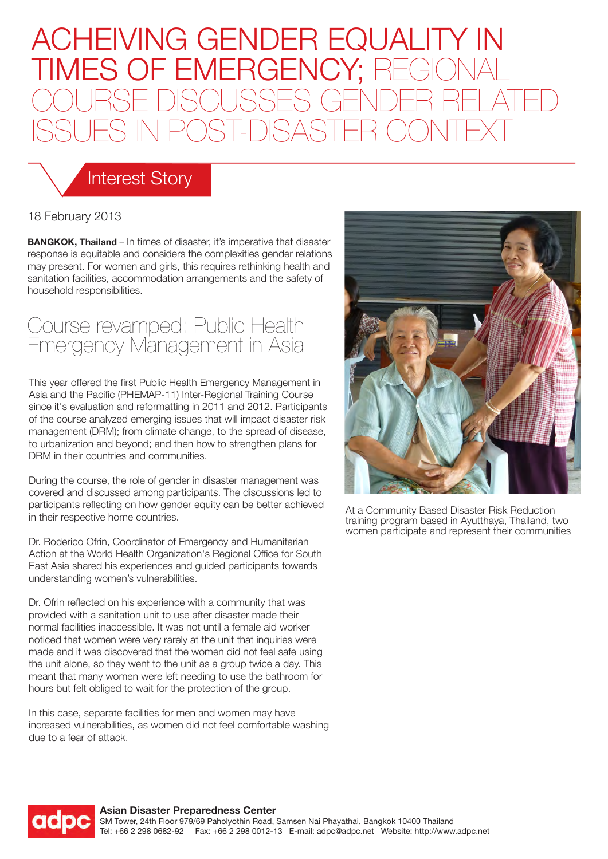# ACHEIVING GENDER EQUALITY IN TIMES OF EMERGENCY; REGIO COURSE DISCUSSES GENDER RELATED ISSUES IN POST-DISASTER CONTEXT

### Interest Story

#### 18 February 2013

**BANGKOK, Thailand** – In times of disaster, it's imperative that disaster response is equitable and considers the complexities gender relations may present. For women and girls, this requires rethinking health and sanitation facilities, accommodation arrangements and the safety of household responsibilities.

### Course revamped: Public Health Emergency Management in Asia

This year offered the first Public Health Emergency Management in Asia and the Pacific (PHEMAP-11) Inter-Regional Training Course since it's evaluation and reformatting in 2011 and 2012. Participants of the course analyzed emerging issues that will impact disaster risk management (DRM); from climate change, to the spread of disease, to urbanization and beyond; and then how to strengthen plans for DRM in their countries and communities.

During the course, the role of gender in disaster management was covered and discussed among participants. The discussions led to participants reflecting on how gender equity can be better achieved in their respective home countries.

Dr. Roderico Ofrin, Coordinator of Emergency and Humanitarian Action at the World Health Organization's Regional Office for South East Asia shared his experiences and guided participants towards understanding women's vulnerabilities.

Dr. Ofrin reflected on his experience with a community that was provided with a sanitation unit to use after disaster made their normal facilities inaccessible. It was not until a female aid worker noticed that women were very rarely at the unit that inquiries were made and it was discovered that the women did not feel safe using the unit alone, so they went to the unit as a group twice a day. This meant that many women were left needing to use the bathroom for hours but felt obliged to wait for the protection of the group.

In this case, separate facilities for men and women may have increased vulnerabilities, as women did not feel comfortable washing due to a fear of attack.



At a Community Based Disaster Risk Reduction training program based in Ayutthaya, Thailand, two women participate and represent their communities